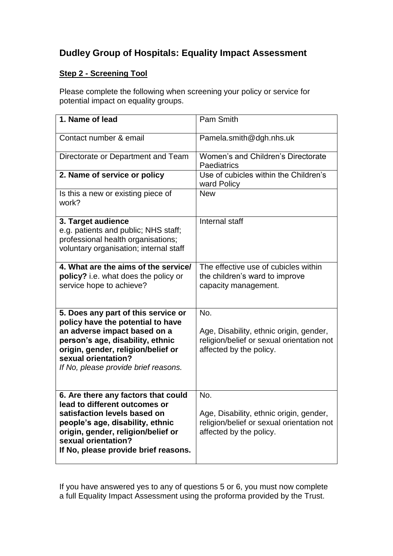## **Dudley Group of Hospitals: Equality Impact Assessment**

## **Step 2 - Screening Tool**

Please complete the following when screening your policy or service for potential impact on equality groups.

| 1. Name of lead                                                                                                                                                                                                                                   | Pam Smith                                                                                                              |
|---------------------------------------------------------------------------------------------------------------------------------------------------------------------------------------------------------------------------------------------------|------------------------------------------------------------------------------------------------------------------------|
| Contact number & email                                                                                                                                                                                                                            | Pamela.smith@dgh.nhs.uk                                                                                                |
| Directorate or Department and Team                                                                                                                                                                                                                | Women's and Children's Directorate<br>Paediatrics                                                                      |
| 2. Name of service or policy                                                                                                                                                                                                                      | Use of cubicles within the Children's<br>ward Policy                                                                   |
| Is this a new or existing piece of<br>work?                                                                                                                                                                                                       | <b>New</b>                                                                                                             |
| 3. Target audience<br>e.g. patients and public; NHS staff;<br>professional health organisations;<br>voluntary organisation; internal staff                                                                                                        | Internal staff                                                                                                         |
| 4. What are the aims of the service/<br>policy? i.e. what does the policy or<br>service hope to achieve?                                                                                                                                          | The effective use of cubicles within<br>the children's ward to improve<br>capacity management.                         |
| 5. Does any part of this service or<br>policy have the potential to have<br>an adverse impact based on a<br>person's age, disability, ethnic<br>origin, gender, religion/belief or<br>sexual orientation?<br>If No, please provide brief reasons. | No.<br>Age, Disability, ethnic origin, gender,<br>religion/belief or sexual orientation not<br>affected by the policy. |
| 6. Are there any factors that could<br>lead to different outcomes or<br>satisfaction levels based on<br>people's age, disability, ethnic<br>origin, gender, religion/belief or<br>sexual orientation?<br>If No, please provide brief reasons.     | No.<br>Age, Disability, ethnic origin, gender,<br>religion/belief or sexual orientation not<br>affected by the policy. |

If you have answered yes to any of questions 5 or 6, you must now complete a full Equality Impact Assessment using the proforma provided by the Trust.